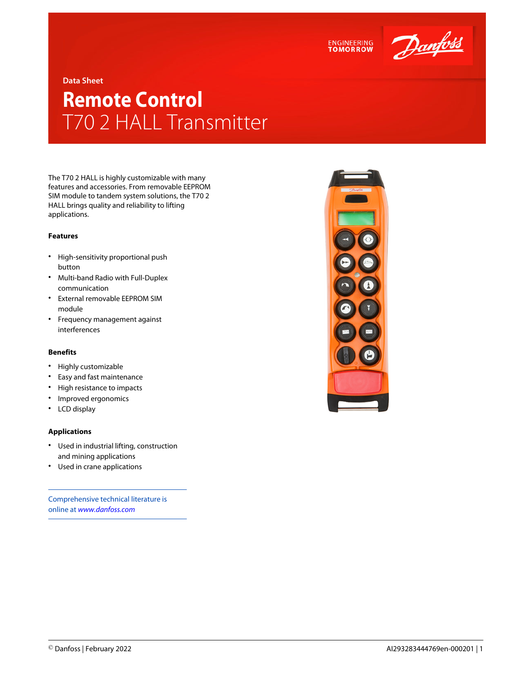



**Data Sheet**

## **Remote Control** T70 2 HALL Transmitter

The T70 2 HALL is highly customizable with many features and accessories. From removable EEPROM SIM module to tandem system solutions, the T70 2 HALL brings quality and reliability to lifting applications.

## **Features**

- High-sensitivity proportional push button
- Multi-band Radio with Full-Duplex communication
- External removable EEPROM SIM module
- Frequency management against interferences

## **Benefits**

- Highly customizable
- Easy and fast maintenance
- High resistance to impacts
- Improved ergonomics
- LCD display

## **Applications**

- Used in industrial lifting, construction and mining applications
- Used in crane applications

Comprehensive technical literature is online at *[www.danfoss.com](https://www.danfoss.com/en/search/?filter=type%3Adocumentation%2Csegment%3Adps)*